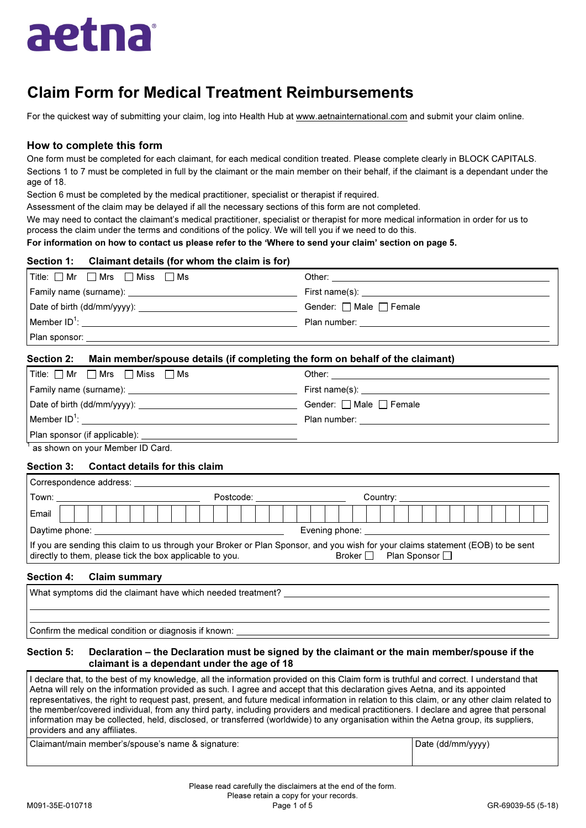

## Claim Form for Medical Treatment Reimbursements

For the quickest way of submitting your claim, log into Health Hub at www.aetnainternational.com and submit your claim online.

## How to complete this form

One form must be completed for each claimant, for each medical condition treated. Please complete clearly in BLOCK CAPITALS. Sections 1 to 7 must be completed in full by the claimant or the main member on their behalf, if the claimant is a dependant under the age of 18.

Section 6 must be completed by the medical practitioner, specialist or therapist if required.

Assessment of the claim may be delayed if all the necessary sections of this form are not completed.

We may need to contact the claimant's medical practitioner, specialist or therapist for more medical information in order for us to process the claim under the terms and conditions of the policy. We will tell you if we need to do this.

## For information on how to contact us please refer to the 'Where to send your claim' section on page 5.

| Section 1: Claimant details (for whom the claim is for)                                  |                         |
|------------------------------------------------------------------------------------------|-------------------------|
| Title: □ Mr □ Mrs □ Miss □ Ms                                                            |                         |
|                                                                                          |                         |
|                                                                                          | Gender: □ Male □ Female |
|                                                                                          |                         |
|                                                                                          |                         |
| Section 2: Main member/spouse details (if completing the form on behalf of the claimant) |                         |

# $\boxed{\mathsf{Title}:\Box\mathsf{Mr} \quad \Box\mathsf{Mrs} \quad \Box\mathsf{ Miss} \quad \Box\mathsf{ Ms}}$  Other:

| Family name (surname): will be a series of the series of the series of the series of the series of the series of the series of the series of the series of the series of the series of the series of the series of the serie | First name(s): the contract of the contract of the contract of the contract of the contract of the contract of the contract of the contract of the contract of the contract of the contract of the contract of the contract of |
|------------------------------------------------------------------------------------------------------------------------------------------------------------------------------------------------------------------------------|--------------------------------------------------------------------------------------------------------------------------------------------------------------------------------------------------------------------------------|
|                                                                                                                                                                                                                              | Gender: $\Box$ Male $\Box$ Female                                                                                                                                                                                              |
| $\mathsf{M}$ ember ID <sup>1</sup> :                                                                                                                                                                                         | Plan number: the contract of the contract of the contract of the contract of the contract of the contract of the contract of the contract of the contract of the contract of the contract of the contract of the contract of t |
| Plan sponsor (if applicable):                                                                                                                                                                                                |                                                                                                                                                                                                                                |

<sup>1</sup> as shown on your Member ID Card.

## Section 3: Contact details for this claim

| Correspondence address:                                                                                                                                                                                                         |  |  |  |  |  |  |           |  |  |  |  |  |  |  |  |                          |  |  |  |  |  |  |  |  |  |  |  |  |  |  |  |  |  |
|---------------------------------------------------------------------------------------------------------------------------------------------------------------------------------------------------------------------------------|--|--|--|--|--|--|-----------|--|--|--|--|--|--|--|--|--------------------------|--|--|--|--|--|--|--|--|--|--|--|--|--|--|--|--|--|
| Town:                                                                                                                                                                                                                           |  |  |  |  |  |  | Postcode: |  |  |  |  |  |  |  |  | Country: <b>Country:</b> |  |  |  |  |  |  |  |  |  |  |  |  |  |  |  |  |  |
| Email                                                                                                                                                                                                                           |  |  |  |  |  |  |           |  |  |  |  |  |  |  |  |                          |  |  |  |  |  |  |  |  |  |  |  |  |  |  |  |  |  |
| Daytime phone: Daytime<br>Evening phone:                                                                                                                                                                                        |  |  |  |  |  |  |           |  |  |  |  |  |  |  |  |                          |  |  |  |  |  |  |  |  |  |  |  |  |  |  |  |  |  |
| If you are sending this claim to us through your Broker or Plan Sponsor, and you wish for your claims statement (EOB) to be sent<br>Plan Sponsor □<br>directly to them, please tick the box applicable to you.<br>Broker $\Box$ |  |  |  |  |  |  |           |  |  |  |  |  |  |  |  |                          |  |  |  |  |  |  |  |  |  |  |  |  |  |  |  |  |  |

## Section 4: Claim summary

| What symptoms did the claimant have which needed treatment? |  |
|-------------------------------------------------------------|--|
|                                                             |  |
|                                                             |  |
| Confirm the medical condition or diagnosis if known:        |  |

## Section 5: Declaration – the Declaration must be signed by the claimant or the main member/spouse if the claimant is a dependant under the age of 18

I declare that, to the best of my knowledge, all the information provided on this Claim form is truthful and correct. I understand that Aetna will rely on the information provided as such. I agree and accept that this declaration gives Aetna, and its appointed representatives, the right to request past, present, and future medical information in relation to this claim, or any other claim related to the member/covered individual, from any third party, including providers and medical practitioners. I declare and agree that personal information may be collected, held, disclosed, or transferred (worldwide) to any organisation within the Aetna group, its suppliers, providers and any affiliates.

Claimant/main member's/spouse's name & signature:  $\vert$  Date (dd/mm/yyyy) and  $\vert$  Date (dd/mm/yyyy)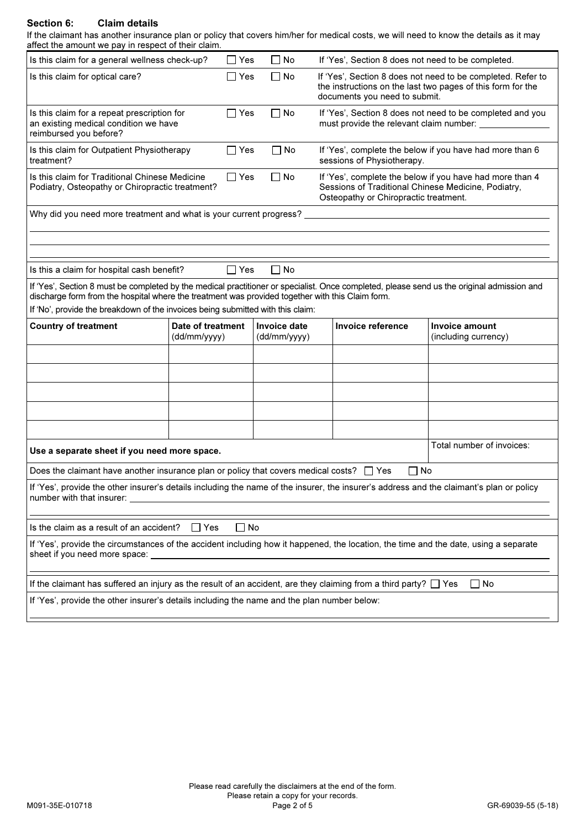## Section 6: Claim details

If the claimant has another insurance plan or policy that covers him/her for medical costs, we will need to know the details as it may affect the amount we pay in respect of their claim.

| affect the amount we pay in respect of their claim.                                                                                                                                                                                            |                                   |            |                              |                                                                                                                                                          |                                                    |                                                                                                                            |  |  |  |  |
|------------------------------------------------------------------------------------------------------------------------------------------------------------------------------------------------------------------------------------------------|-----------------------------------|------------|------------------------------|----------------------------------------------------------------------------------------------------------------------------------------------------------|----------------------------------------------------|----------------------------------------------------------------------------------------------------------------------------|--|--|--|--|
| Is this claim for a general wellness check-up?                                                                                                                                                                                                 |                                   | $\Box$ Yes | ∩ No                         |                                                                                                                                                          | If 'Yes', Section 8 does not need to be completed. |                                                                                                                            |  |  |  |  |
| Is this claim for optical care?                                                                                                                                                                                                                |                                   | $\Box$ Yes | $\Box$ No                    |                                                                                                                                                          | documents you need to submit.                      | If 'Yes', Section 8 does not need to be completed. Refer to<br>the instructions on the last two pages of this form for the |  |  |  |  |
| Is this claim for a repeat prescription for<br>an existing medical condition we have<br>reimbursed you before?                                                                                                                                 |                                   | $\Box$ Yes | □ No                         |                                                                                                                                                          |                                                    | If 'Yes', Section 8 does not need to be completed and you<br>must provide the relevant claim number: ____________          |  |  |  |  |
| Is this claim for Outpatient Physiotherapy<br>treatment?                                                                                                                                                                                       |                                   | $\Box$ Yes | $\Box$ No                    |                                                                                                                                                          | sessions of Physiotherapy.                         | If 'Yes', complete the below if you have had more than 6                                                                   |  |  |  |  |
| Is this claim for Traditional Chinese Medicine<br>Podiatry, Osteopathy or Chiropractic treatment?                                                                                                                                              |                                   | $\Box$ Yes | $\Box$ No                    | If 'Yes', complete the below if you have had more than 4<br>Sessions of Traditional Chinese Medicine, Podiatry,<br>Osteopathy or Chiropractic treatment. |                                                    |                                                                                                                            |  |  |  |  |
| Why did you need more treatment and what is your current progress? ________________________________                                                                                                                                            |                                   |            |                              |                                                                                                                                                          |                                                    |                                                                                                                            |  |  |  |  |
|                                                                                                                                                                                                                                                |                                   |            |                              |                                                                                                                                                          |                                                    |                                                                                                                            |  |  |  |  |
|                                                                                                                                                                                                                                                |                                   |            |                              |                                                                                                                                                          |                                                    |                                                                                                                            |  |  |  |  |
| Is this a claim for hospital cash benefit?                                                                                                                                                                                                     |                                   | $\Box$ Yes | $\square$ No                 |                                                                                                                                                          |                                                    |                                                                                                                            |  |  |  |  |
| If 'Yes', Section 8 must be completed by the medical practitioner or specialist. Once completed, please send us the original admission and<br>discharge form from the hospital where the treatment was provided together with this Claim form. |                                   |            |                              |                                                                                                                                                          |                                                    |                                                                                                                            |  |  |  |  |
| If 'No', provide the breakdown of the invoices being submitted with this claim:                                                                                                                                                                |                                   |            |                              |                                                                                                                                                          |                                                    |                                                                                                                            |  |  |  |  |
| <b>Country of treatment</b>                                                                                                                                                                                                                    | Date of treatment<br>(dd/mm/yyyy) |            | Invoice date<br>(dd/mm/yyyy) |                                                                                                                                                          | Invoice reference                                  | Invoice amount<br>(including currency)                                                                                     |  |  |  |  |
|                                                                                                                                                                                                                                                |                                   |            |                              |                                                                                                                                                          |                                                    |                                                                                                                            |  |  |  |  |
|                                                                                                                                                                                                                                                |                                   |            |                              |                                                                                                                                                          |                                                    |                                                                                                                            |  |  |  |  |
|                                                                                                                                                                                                                                                |                                   |            |                              |                                                                                                                                                          |                                                    |                                                                                                                            |  |  |  |  |
|                                                                                                                                                                                                                                                |                                   |            |                              |                                                                                                                                                          |                                                    |                                                                                                                            |  |  |  |  |
|                                                                                                                                                                                                                                                |                                   |            |                              |                                                                                                                                                          |                                                    |                                                                                                                            |  |  |  |  |
| Use a separate sheet if you need more space.                                                                                                                                                                                                   |                                   |            |                              |                                                                                                                                                          |                                                    | Total number of invoices:                                                                                                  |  |  |  |  |
| Does the claimant have another insurance plan or policy that covers medical costs? $\square$ Yes                                                                                                                                               |                                   |            |                              |                                                                                                                                                          | $\Box$ No                                          |                                                                                                                            |  |  |  |  |
| If 'Yes', provide the other insurer's details including the name of the insurer, the insurer's address and the claimant's plan or policy<br>number with that insurer:                                                                          |                                   |            |                              |                                                                                                                                                          |                                                    |                                                                                                                            |  |  |  |  |
|                                                                                                                                                                                                                                                |                                   |            |                              |                                                                                                                                                          |                                                    |                                                                                                                            |  |  |  |  |
| Is the claim as a result of an accident?<br>∩ No<br>l IYes                                                                                                                                                                                     |                                   |            |                              |                                                                                                                                                          |                                                    |                                                                                                                            |  |  |  |  |
| If 'Yes', provide the circumstances of the accident including how it happened, the location, the time and the date, using a separate<br>sheet if you need more space:                                                                          |                                   |            |                              |                                                                                                                                                          |                                                    |                                                                                                                            |  |  |  |  |
| If the claimant has suffered an injury as the result of an accident, are they claiming from a third party? $\Box$ Yes<br>$\Box$ No                                                                                                             |                                   |            |                              |                                                                                                                                                          |                                                    |                                                                                                                            |  |  |  |  |
| If 'Yes', provide the other insurer's details including the name and the plan number below:                                                                                                                                                    |                                   |            |                              |                                                                                                                                                          |                                                    |                                                                                                                            |  |  |  |  |
|                                                                                                                                                                                                                                                |                                   |            |                              |                                                                                                                                                          |                                                    |                                                                                                                            |  |  |  |  |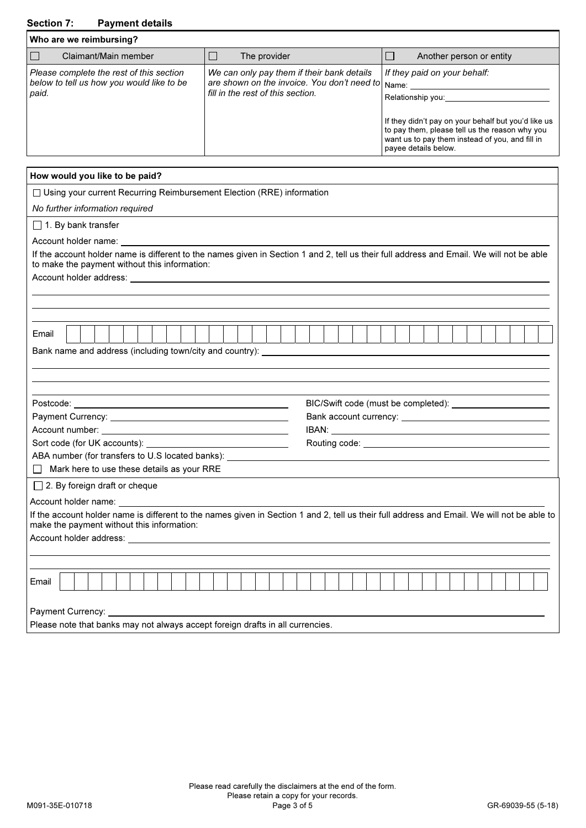## Section 7: Payment details

| Who are we reimbursing?                                                                        |                                                                                                                                      |                                                                                                                                                            |
|------------------------------------------------------------------------------------------------|--------------------------------------------------------------------------------------------------------------------------------------|------------------------------------------------------------------------------------------------------------------------------------------------------------|
| Claimant/Main member                                                                           | The provider                                                                                                                         | Another person or entity                                                                                                                                   |
| Please complete the rest of this section<br>below to tell us how you would like to be<br>paid. | We can only pay them if their bank details<br>are shown on the invoice. You don't need to Name:<br>fill in the rest of this section. | If they paid on your behalf:<br>Relationship you:<br>If they didn't pay on your behalf but you'd like us<br>to pay them, please tell us the reason why you |
|                                                                                                |                                                                                                                                      | want us to pay them instead of you, and fill in<br>payee details below.                                                                                    |

| How would you like to be paid?                                                                                                                                                                                                 |  |  |  |  |  |  |  |  |  |  |
|--------------------------------------------------------------------------------------------------------------------------------------------------------------------------------------------------------------------------------|--|--|--|--|--|--|--|--|--|--|
| □ Using your current Recurring Reimbursement Election (RRE) information                                                                                                                                                        |  |  |  |  |  |  |  |  |  |  |
| No further information required                                                                                                                                                                                                |  |  |  |  |  |  |  |  |  |  |
| $\Box$ 1. By bank transfer                                                                                                                                                                                                     |  |  |  |  |  |  |  |  |  |  |
| Account holder name: example a series of the series of the series of the series of the series of the series of the series of the series of the series of the series of the series of the series of the series of the series of |  |  |  |  |  |  |  |  |  |  |
| If the account holder name is different to the names given in Section 1 and 2, tell us their full address and Email. We will not be able<br>to make the payment without this information:                                      |  |  |  |  |  |  |  |  |  |  |
| Account holder address: Universe and Second Second Second Second Second Second Second Second Second Second Second Second Second Second Second Second Second Second Second Second Second Second Second Second Second Second Sec |  |  |  |  |  |  |  |  |  |  |
|                                                                                                                                                                                                                                |  |  |  |  |  |  |  |  |  |  |
|                                                                                                                                                                                                                                |  |  |  |  |  |  |  |  |  |  |
| Email                                                                                                                                                                                                                          |  |  |  |  |  |  |  |  |  |  |
| Bank name and address (including town/city and country): ________________________                                                                                                                                              |  |  |  |  |  |  |  |  |  |  |
|                                                                                                                                                                                                                                |  |  |  |  |  |  |  |  |  |  |
|                                                                                                                                                                                                                                |  |  |  |  |  |  |  |  |  |  |
|                                                                                                                                                                                                                                |  |  |  |  |  |  |  |  |  |  |
|                                                                                                                                                                                                                                |  |  |  |  |  |  |  |  |  |  |
|                                                                                                                                                                                                                                |  |  |  |  |  |  |  |  |  |  |
|                                                                                                                                                                                                                                |  |  |  |  |  |  |  |  |  |  |
| ABA number (for transfers to U.S located banks): _______________________________                                                                                                                                               |  |  |  |  |  |  |  |  |  |  |
| $\Box$ Mark here to use these details as your RRE                                                                                                                                                                              |  |  |  |  |  |  |  |  |  |  |
| $\Box$ 2. By foreign draft or cheque                                                                                                                                                                                           |  |  |  |  |  |  |  |  |  |  |
| Account holder name:                                                                                                                                                                                                           |  |  |  |  |  |  |  |  |  |  |
| If the account holder name is different to the names given in Section 1 and 2, tell us their full address and Email. We will not be able to                                                                                    |  |  |  |  |  |  |  |  |  |  |
| make the payment without this information:                                                                                                                                                                                     |  |  |  |  |  |  |  |  |  |  |
|                                                                                                                                                                                                                                |  |  |  |  |  |  |  |  |  |  |
|                                                                                                                                                                                                                                |  |  |  |  |  |  |  |  |  |  |
| Email                                                                                                                                                                                                                          |  |  |  |  |  |  |  |  |  |  |
|                                                                                                                                                                                                                                |  |  |  |  |  |  |  |  |  |  |
| Payment Currency:                                                                                                                                                                                                              |  |  |  |  |  |  |  |  |  |  |
| Please note that banks may not always accept foreign drafts in all currencies.                                                                                                                                                 |  |  |  |  |  |  |  |  |  |  |
|                                                                                                                                                                                                                                |  |  |  |  |  |  |  |  |  |  |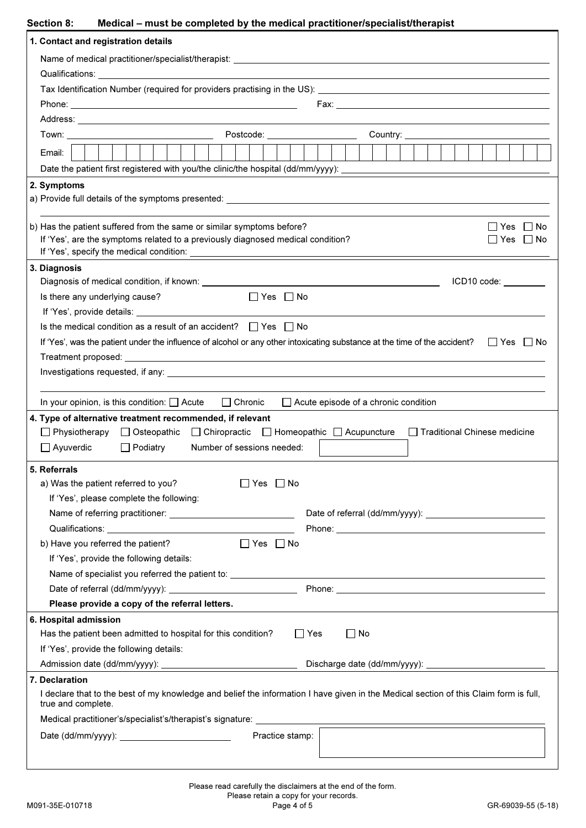| <b>Section 8:</b> | Medical – must be completed by the medical practitioner/specialist/therapist |  |  |
|-------------------|------------------------------------------------------------------------------|--|--|
|-------------------|------------------------------------------------------------------------------|--|--|

| 1. Contact and registration details                                                                                                                                                                                            |                              |  |  |  |  |  |  |  |  |  |
|--------------------------------------------------------------------------------------------------------------------------------------------------------------------------------------------------------------------------------|------------------------------|--|--|--|--|--|--|--|--|--|
|                                                                                                                                                                                                                                |                              |  |  |  |  |  |  |  |  |  |
|                                                                                                                                                                                                                                |                              |  |  |  |  |  |  |  |  |  |
|                                                                                                                                                                                                                                |                              |  |  |  |  |  |  |  |  |  |
|                                                                                                                                                                                                                                |                              |  |  |  |  |  |  |  |  |  |
|                                                                                                                                                                                                                                |                              |  |  |  |  |  |  |  |  |  |
|                                                                                                                                                                                                                                |                              |  |  |  |  |  |  |  |  |  |
| Email:                                                                                                                                                                                                                         |                              |  |  |  |  |  |  |  |  |  |
|                                                                                                                                                                                                                                |                              |  |  |  |  |  |  |  |  |  |
| 2. Symptoms                                                                                                                                                                                                                    |                              |  |  |  |  |  |  |  |  |  |
|                                                                                                                                                                                                                                |                              |  |  |  |  |  |  |  |  |  |
|                                                                                                                                                                                                                                |                              |  |  |  |  |  |  |  |  |  |
| b) Has the patient suffered from the same or similar symptoms before?                                                                                                                                                          | Yes   No                     |  |  |  |  |  |  |  |  |  |
| If 'Yes', are the symptoms related to a previously diagnosed medical condition?                                                                                                                                                | l IYes l<br>∣ ∣No            |  |  |  |  |  |  |  |  |  |
|                                                                                                                                                                                                                                |                              |  |  |  |  |  |  |  |  |  |
| 3. Diagnosis                                                                                                                                                                                                                   |                              |  |  |  |  |  |  |  |  |  |
|                                                                                                                                                                                                                                | ICD10 code:                  |  |  |  |  |  |  |  |  |  |
| $\Box$ Yes $\Box$ No<br>Is there any underlying cause?                                                                                                                                                                         |                              |  |  |  |  |  |  |  |  |  |
|                                                                                                                                                                                                                                |                              |  |  |  |  |  |  |  |  |  |
| Is the medical condition as a result of an accident? $\Box$ Yes $\Box$ No                                                                                                                                                      |                              |  |  |  |  |  |  |  |  |  |
| If 'Yes', was the patient under the influence of alcohol or any other intoxicating substance at the time of the accident?<br>Tes no                                                                                            |                              |  |  |  |  |  |  |  |  |  |
|                                                                                                                                                                                                                                |                              |  |  |  |  |  |  |  |  |  |
| Investigations requested, if any: example and the set of the set of the set of the set of the set of the set of the set of the set of the set of the set of the set of the set of the set of the set of the set of the set of  |                              |  |  |  |  |  |  |  |  |  |
|                                                                                                                                                                                                                                |                              |  |  |  |  |  |  |  |  |  |
| In your opinion, is this condition: $\Box$ Acute $\Box$ Chronic<br>$\Box$ Acute episode of a chronic condition                                                                                                                 |                              |  |  |  |  |  |  |  |  |  |
| 4. Type of alternative treatment recommended, if relevant                                                                                                                                                                      |                              |  |  |  |  |  |  |  |  |  |
| □ Physiotherapy □ Osteopathic □ Chiropractic □ Homeopathic □ Acupuncture                                                                                                                                                       | Traditional Chinese medicine |  |  |  |  |  |  |  |  |  |
| $\Box$ Ayuverdic<br>$\Box$ Podiatry<br>Number of sessions needed:                                                                                                                                                              |                              |  |  |  |  |  |  |  |  |  |
| 5. Referrals                                                                                                                                                                                                                   |                              |  |  |  |  |  |  |  |  |  |
| a) Was the patient referred to you?<br>l IYes l<br>∣ ∣No                                                                                                                                                                       |                              |  |  |  |  |  |  |  |  |  |
| If 'Yes', please complete the following:                                                                                                                                                                                       |                              |  |  |  |  |  |  |  |  |  |
|                                                                                                                                                                                                                                |                              |  |  |  |  |  |  |  |  |  |
|                                                                                                                                                                                                                                |                              |  |  |  |  |  |  |  |  |  |
| b) Have you referred the patient?<br>$\Box$ Yes $\Box$ No                                                                                                                                                                      |                              |  |  |  |  |  |  |  |  |  |
| If 'Yes', provide the following details:                                                                                                                                                                                       |                              |  |  |  |  |  |  |  |  |  |
|                                                                                                                                                                                                                                |                              |  |  |  |  |  |  |  |  |  |
| Phone: New York Street, New York Street, New York Street, New York Street, New York Street, New York Street, New York Street, New York Street, New York Street, New York Street, New York Street, New York Street, New York St |                              |  |  |  |  |  |  |  |  |  |
| Please provide a copy of the referral letters.                                                                                                                                                                                 |                              |  |  |  |  |  |  |  |  |  |
| 6. Hospital admission                                                                                                                                                                                                          |                              |  |  |  |  |  |  |  |  |  |
| Has the patient been admitted to hospital for this condition?<br>$\Box$ Yes<br>∐ No                                                                                                                                            |                              |  |  |  |  |  |  |  |  |  |
| If 'Yes', provide the following details:                                                                                                                                                                                       |                              |  |  |  |  |  |  |  |  |  |
|                                                                                                                                                                                                                                |                              |  |  |  |  |  |  |  |  |  |
| 7. Declaration                                                                                                                                                                                                                 |                              |  |  |  |  |  |  |  |  |  |
| I declare that to the best of my knowledge and belief the information I have given in the Medical section of this Claim form is full,<br>true and complete.                                                                    |                              |  |  |  |  |  |  |  |  |  |
| Medical practitioner's/specialist's/therapist's signature: _____________                                                                                                                                                       |                              |  |  |  |  |  |  |  |  |  |
| Practice stamp:                                                                                                                                                                                                                |                              |  |  |  |  |  |  |  |  |  |
|                                                                                                                                                                                                                                |                              |  |  |  |  |  |  |  |  |  |
|                                                                                                                                                                                                                                |                              |  |  |  |  |  |  |  |  |  |